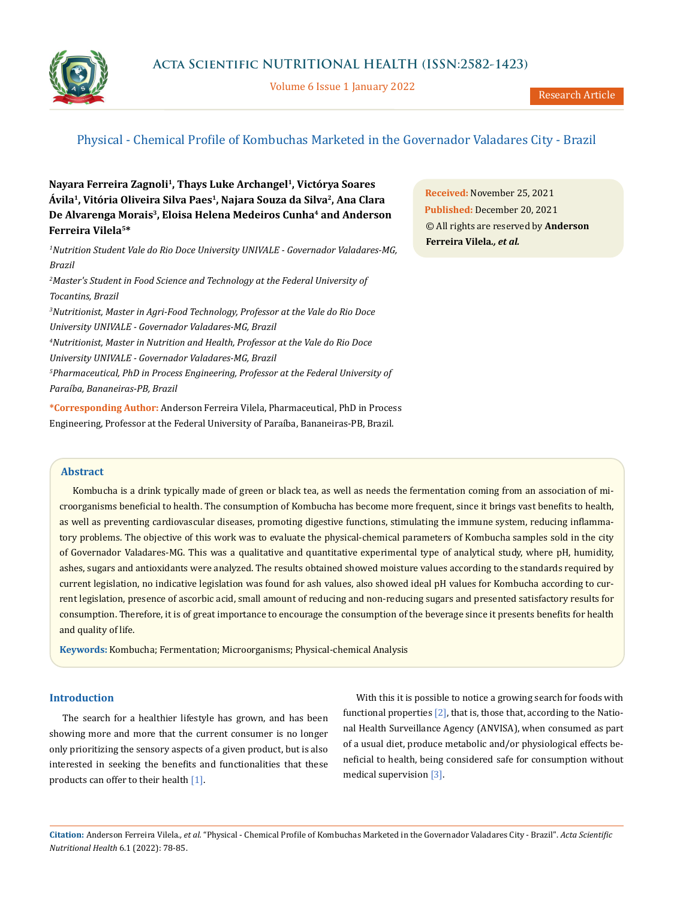

Volume 6 Issue 1 January 2022

# Physical - Chemical Profile of Kombuchas Marketed in the Governador Valadares City - Brazil

**Nayara Ferreira Zagnoli1, Thays Luke Archangel1, Victórya Soares Ávila1, Vitória Oliveira Silva Paes1, Najara Souza da Silva2, Ana Clara**  De Alvarenga Morais<sup>3</sup>, Eloisa Helena Medeiros Cunha<sup>4</sup> and Anderson **Ferreira Vilela5\***

*1 Nutrition Student Vale do Rio Doce University UNIVALE - Governador Valadares-MG, Brazil*

<sup>2</sup> Master's Student in Food Science and Technology at the Federal University of *Tocantins, Brazil*

*3 Nutritionist, Master in Agri-Food Technology, Professor at the Vale do Rio Doce University UNIVALE - Governador Valadares-MG, Brazil 4 Nutritionist, Master in Nutrition and Health, Professor at the Vale do Rio Doce University UNIVALE - Governador Valadares-MG, Brazil 5 Pharmaceutical, PhD in Process Engineering, Professor at the Federal University of Paraíba, Bananeiras-PB, Brazil*

**\*Corresponding Author:** Anderson Ferreira Vilela, Pharmaceutical, PhD in Process Engineering, Professor at the Federal University of Paraíba, Bananeiras-PB, Brazil.

**Received:** November 25, 2021 **Published:** December 20, 2021 © All rights are reserved by **Anderson Ferreira Vilela***., et al.*

# **Abstract**

Kombucha is a drink typically made of green or black tea, as well as needs the fermentation coming from an association of microorganisms beneficial to health. The consumption of Kombucha has become more frequent, since it brings vast benefits to health, as well as preventing cardiovascular diseases, promoting digestive functions, stimulating the immune system, reducing inflammatory problems. The objective of this work was to evaluate the physical-chemical parameters of Kombucha samples sold in the city of Governador Valadares-MG. This was a qualitative and quantitative experimental type of analytical study, where pH, humidity, ashes, sugars and antioxidants were analyzed. The results obtained showed moisture values according to the standards required by current legislation, no indicative legislation was found for ash values, also showed ideal pH values for Kombucha according to current legislation, presence of ascorbic acid, small amount of reducing and non-reducing sugars and presented satisfactory results for consumption. Therefore, it is of great importance to encourage the consumption of the beverage since it presents benefits for health and quality of life.

**Keywords:** Kombucha; Fermentation; Microorganisms; Physical-chemical Analysis

# **Introduction**

The search for a healthier lifestyle has grown, and has been showing more and more that the current consumer is no longer only prioritizing the sensory aspects of a given product, but is also interested in seeking the benefits and functionalities that these products can offer to their health [1].

With this it is possible to notice a growing search for foods with functional properties  $[2]$ , that is, those that, according to the National Health Surveillance Agency (ANVISA), when consumed as part of a usual diet, produce metabolic and/or physiological effects beneficial to health, being considered safe for consumption without medical supervision [3].

**Citation:** Anderson Ferreira Vilela*., et al.* "Physical - Chemical Profile of Kombuchas Marketed in the Governador Valadares City - Brazil". *Acta Scientific Nutritional Health* 6.1 (2022): 78-85.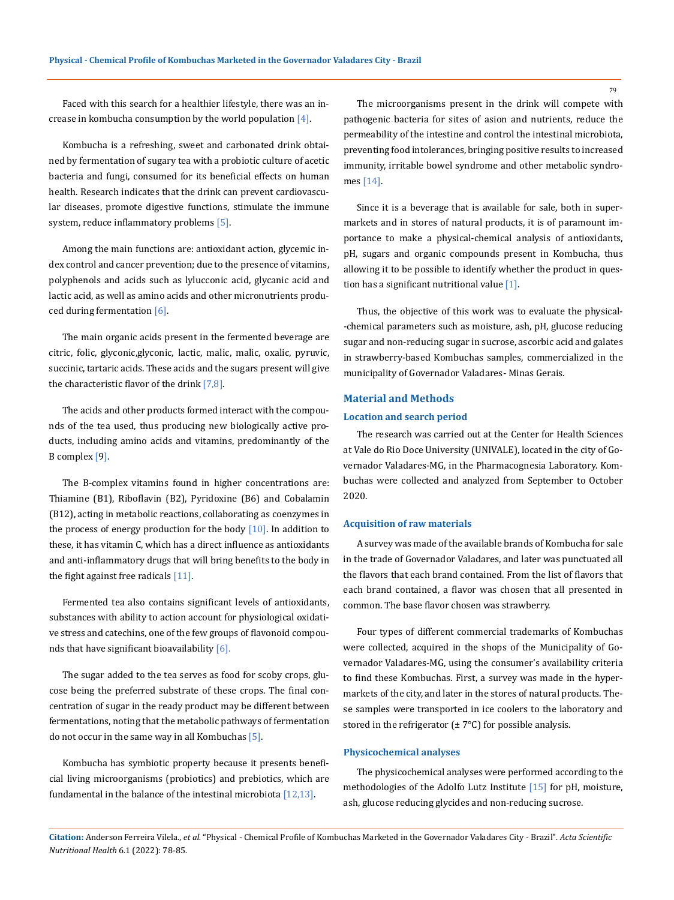Faced with this search for a healthier lifestyle, there was an increase in kombucha consumption by the world population [4].

Kombucha is a refreshing, sweet and carbonated drink obtained by fermentation of sugary tea with a probiotic culture of acetic bacteria and fungi, consumed for its beneficial effects on human health. Research indicates that the drink can prevent cardiovascular diseases, promote digestive functions, stimulate the immune system, reduce inflammatory problems [5].

Among the main functions are: antioxidant action, glycemic index control and cancer prevention; due to the presence of vitamins, polyphenols and acids such as lylucconic acid, glycanic acid and lactic acid, as well as amino acids and other micronutrients produced during fermentation [6].

The main organic acids present in the fermented beverage are citric, folic, glyconic,glyconic, lactic, malic, malic, oxalic, pyruvic, succinic, tartaric acids. These acids and the sugars present will give the characteristic flavor of the drink  $[7,8]$ .

The acids and other products formed interact with the compounds of the tea used, thus producing new biologically active products, including amino acids and vitamins, predominantly of the B complex [9].

The B-complex vitamins found in higher concentrations are: Thiamine (B1), Riboflavin (B2), Pyridoxine (B6) and Cobalamin (B12), acting in metabolic reactions, collaborating as coenzymes in the process of energy production for the body  $[10]$ . In addition to these, it has vitamin C, which has a direct influence as antioxidants and anti-inflammatory drugs that will bring benefits to the body in the fight against free radicals [11].

Fermented tea also contains significant levels of antioxidants, substances with ability to action account for physiological oxidative stress and catechins, one of the few groups of flavonoid compounds that have significant bioavailability [6].

The sugar added to the tea serves as food for scoby crops, glucose being the preferred substrate of these crops. The final concentration of sugar in the ready product may be different between fermentations, noting that the metabolic pathways of fermentation do not occur in the same way in all Kombuchas [5].

Kombucha has symbiotic property because it presents beneficial living microorganisms (probiotics) and prebiotics, which are fundamental in the balance of the intestinal microbiota [12,13].

The microorganisms present in the drink will compete with pathogenic bacteria for sites of asion and nutrients, reduce the permeability of the intestine and control the intestinal microbiota, preventing food intolerances, bringing positive results to increased immunity, irritable bowel syndrome and other metabolic syndromes [14].

Since it is a beverage that is available for sale, both in supermarkets and in stores of natural products, it is of paramount importance to make a physical-chemical analysis of antioxidants, pH, sugars and organic compounds present in Kombucha, thus allowing it to be possible to identify whether the product in question has a significant nutritional value [1].

Thus, the objective of this work was to evaluate the physical- -chemical parameters such as moisture, ash, pH, glucose reducing sugar and non-reducing sugar in sucrose, ascorbic acid and galates in strawberry-based Kombuchas samples, commercialized in the municipality of Governador Valadares- Minas Gerais.

# **Material and Methods**

## **Location and search period**

The research was carried out at the Center for Health Sciences at Vale do Rio Doce University (UNIVALE), located in the city of Governador Valadares-MG, in the Pharmacognesia Laboratory. Kombuchas were collected and analyzed from September to October 2020.

#### **Acquisition of raw materials**

A survey was made of the available brands of Kombucha for sale in the trade of Governador Valadares, and later was punctuated all the flavors that each brand contained. From the list of flavors that each brand contained, a flavor was chosen that all presented in common. The base flavor chosen was strawberry.

Four types of different commercial trademarks of Kombuchas were collected, acquired in the shops of the Municipality of Governador Valadares-MG, using the consumer's availability criteria to find these Kombuchas. First, a survey was made in the hypermarkets of the city, and later in the stores of natural products. These samples were transported in ice coolers to the laboratory and stored in the refrigerator  $(\pm 7^{\circ}C)$  for possible analysis.

#### **Physicochemical analyses**

The physicochemical analyses were performed according to the methodologies of the Adolfo Lutz Institute [15] for pH, moisture, ash, glucose reducing glycides and non-reducing sucrose.

**Citation:** Anderson Ferreira Vilela*., et al.* "Physical - Chemical Profile of Kombuchas Marketed in the Governador Valadares City - Brazil". *Acta Scientific Nutritional Health* 6.1 (2022): 78-85.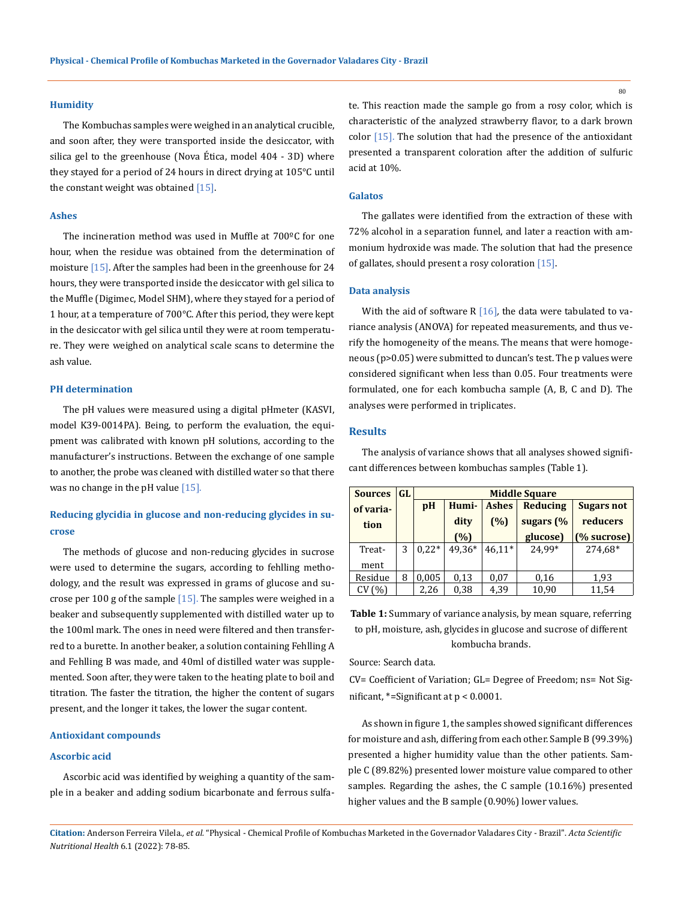### **Humidity**

The Kombuchas samples were weighed in an analytical crucible, and soon after, they were transported inside the desiccator, with silica gel to the greenhouse (Nova Ética, model 404 - 3D) where they stayed for a period of 24 hours in direct drying at 105°C until the constant weight was obtained [15].

## **Ashes**

The incineration method was used in Muffle at 700ºC for one hour, when the residue was obtained from the determination of moisture [15]. After the samples had been in the greenhouse for 24 hours, they were transported inside the desiccator with gel silica to the Muffle (Digimec, Model SHM), where they stayed for a period of 1 hour, at a temperature of 700°C. After this period, they were kept in the desiccator with gel silica until they were at room temperature. They were weighed on analytical scale scans to determine the ash value.

#### **PH determination**

The pH values were measured using a digital pHmeter (KASVI, model K39-0014PA). Being, to perform the evaluation, the equipment was calibrated with known pH solutions, according to the manufacturer's instructions. Between the exchange of one sample to another, the probe was cleaned with distilled water so that there was no change in the pH value  $[15]$ .

# **Reducing glycidia in glucose and non-reducing glycides in sucrose**

The methods of glucose and non-reducing glycides in sucrose were used to determine the sugars, according to fehlling methodology, and the result was expressed in grams of glucose and sucrose per 100 g of the sample  $[15]$ . The samples were weighed in a beaker and subsequently supplemented with distilled water up to the 100ml mark. The ones in need were filtered and then transferred to a burette. In another beaker, a solution containing Fehlling A and Fehlling B was made, and 40ml of distilled water was supplemented. Soon after, they were taken to the heating plate to boil and titration. The faster the titration, the higher the content of sugars present, and the longer it takes, the lower the sugar content.

#### **Antioxidant compounds**

#### **Ascorbic acid**

Ascorbic acid was identified by weighing a quantity of the sample in a beaker and adding sodium bicarbonate and ferrous sulfate. This reaction made the sample go from a rosy color, which is characteristic of the analyzed strawberry flavor, to a dark brown color [15]. The solution that had the presence of the antioxidant presented a transparent coloration after the addition of sulfuric acid at 10%.

# **Galatos**

The gallates were identified from the extraction of these with 72% alcohol in a separation funnel, and later a reaction with ammonium hydroxide was made. The solution that had the presence of gallates, should present a rosy coloration [15].

#### **Data analysis**

With the aid of software R [16], the data were tabulated to variance analysis (ANOVA) for repeated measurements, and thus verify the homogeneity of the means. The means that were homogeneous (p>0.05) were submitted to duncan's test. The p values were considered significant when less than 0.05. Four treatments were formulated, one for each kombucha sample (A, B, C and D). The analyses were performed in triplicates.

#### **Results**

The analysis of variance shows that all analyses showed significant differences between kombuchas samples (Table 1).

| <b>Sources</b> | GL | <b>Middle Square</b> |        |              |           |                   |
|----------------|----|----------------------|--------|--------------|-----------|-------------------|
| of varia-      |    | pH                   | Humi-  | <b>Ashes</b> | Reducing  | <b>Sugars not</b> |
| tion           |    |                      | dity   | (%)          | sugars (% | reducers          |
|                |    |                      | (%)    |              | glucose)  | (% sucrose)       |
| Treat-         | 3  | $0.22*$              | 49.36* | $46.11*$     | 24.99*    | 274.68*           |
| ment           |    |                      |        |              |           |                   |
| Residue        | 8  | 0,005                | 0.13   | 0.07         | 0,16      | 1,93              |
| CV(%)          |    | 2,26                 | 0,38   | 4,39         | 10,90     | 11,54             |

**Table 1:** Summary of variance analysis, by mean square, referring to pH, moisture, ash, glycides in glucose and sucrose of different kombucha brands.

Source: Search data.

CV= Coefficient of Variation; GL= Degree of Freedom; ns= Not Significant, \*=Significant at p < 0.0001.

As shown in figure 1, the samples showed significant differences for moisture and ash, differing from each other. Sample B (99.39%) presented a higher humidity value than the other patients. Sample C (89.82%) presented lower moisture value compared to other samples. Regarding the ashes, the C sample (10.16%) presented higher values and the B sample (0.90%) lower values.

**Citation:** Anderson Ferreira Vilela*., et al.* "Physical - Chemical Profile of Kombuchas Marketed in the Governador Valadares City - Brazil". *Acta Scientific Nutritional Health* 6.1 (2022): 78-85.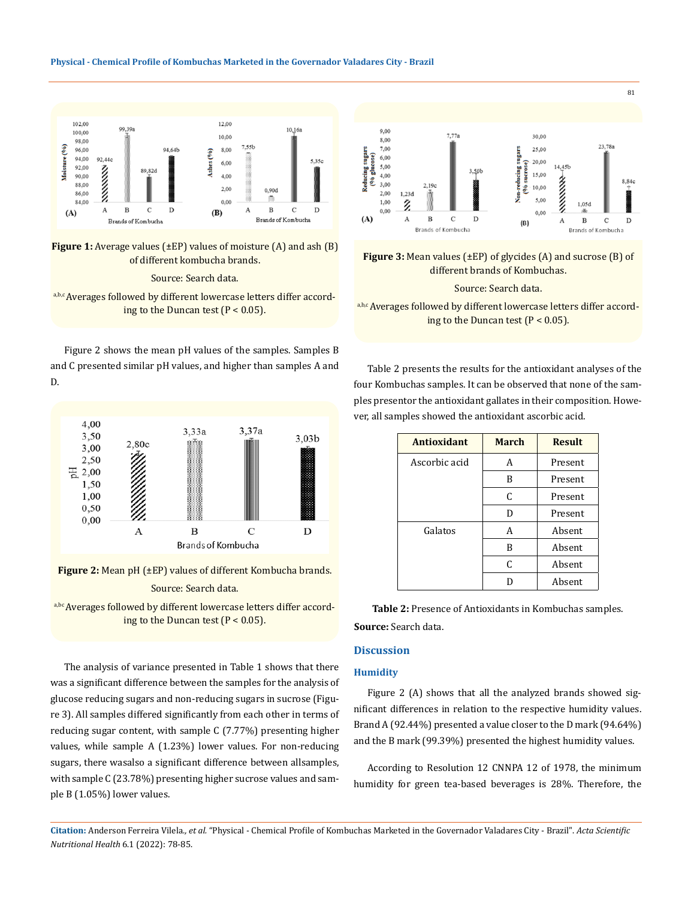#### **Physical - Chemical Profile of Kombuchas Marketed in the Governador Valadares City - Brazil**



**Figure 1:** Average values (±EP) values of moisture (A) and ash (B) of different kombucha brands.

#### Source: Search data.

a,b,c Averages followed by different lowercase letters differ according to the Duncan test  $(P < 0.05)$ .

Figure 2 shows the mean pH values of the samples. Samples B and C presented similar pH values, and higher than samples A and D.



**Figure 2:** Mean pH (±EP) values of different Kombucha brands.

## Source: Search data.

a,bc Averages followed by different lowercase letters differ according to the Duncan test  $(P < 0.05)$ .

The analysis of variance presented in Table 1 shows that there was a significant difference between the samples for the analysis of glucose reducing sugars and non-reducing sugars in sucrose (Figure 3). All samples differed significantly from each other in terms of reducing sugar content, with sample C (7.77%) presenting higher values, while sample A (1.23%) lower values. For non-reducing sugars, there wasalso a significant difference between allsamples, with sample C (23.78%) presenting higher sucrose values and sample B (1.05%) lower values.



**Figure 3:** Mean values (±EP) of glycides (A) and sucrose (B) of different brands of Kombuchas.

Source: Search data.

a,b,c Averages followed by different lowercase letters differ according to the Duncan test  $(P < 0.05)$ .

Table 2 presents the results for the antioxidant analyses of the four Kombuchas samples. It can be observed that none of the samples presentor the antioxidant gallates in their composition. However, all samples showed the antioxidant ascorbic acid.

| <b>Antioxidant</b> | <b>March</b> | <b>Result</b> |
|--------------------|--------------|---------------|
| Ascorbic acid      | А            | Present       |
|                    | B            | Present       |
|                    | C            | Present       |
|                    | D            | Present       |
| Galatos            | А            | Absent        |
|                    | B            | Absent        |
|                    | C            | Absent        |
|                    |              | Absent        |

**Table 2:** Presence of Antioxidants in Kombuchas samples. **Source:** Search data.

## **Discussion**

#### **Humidity**

Figure 2 (A) shows that all the analyzed brands showed significant differences in relation to the respective humidity values. Brand A (92.44%) presented a value closer to the D mark (94.64%) and the B mark (99.39%) presented the highest humidity values.

According to Resolution 12 CNNPA 12 of 1978, the minimum humidity for green tea-based beverages is 28%. Therefore, the

**Citation:** Anderson Ferreira Vilela*., et al.* "Physical - Chemical Profile of Kombuchas Marketed in the Governador Valadares City - Brazil". *Acta Scientific Nutritional Health* 6.1 (2022): 78-85.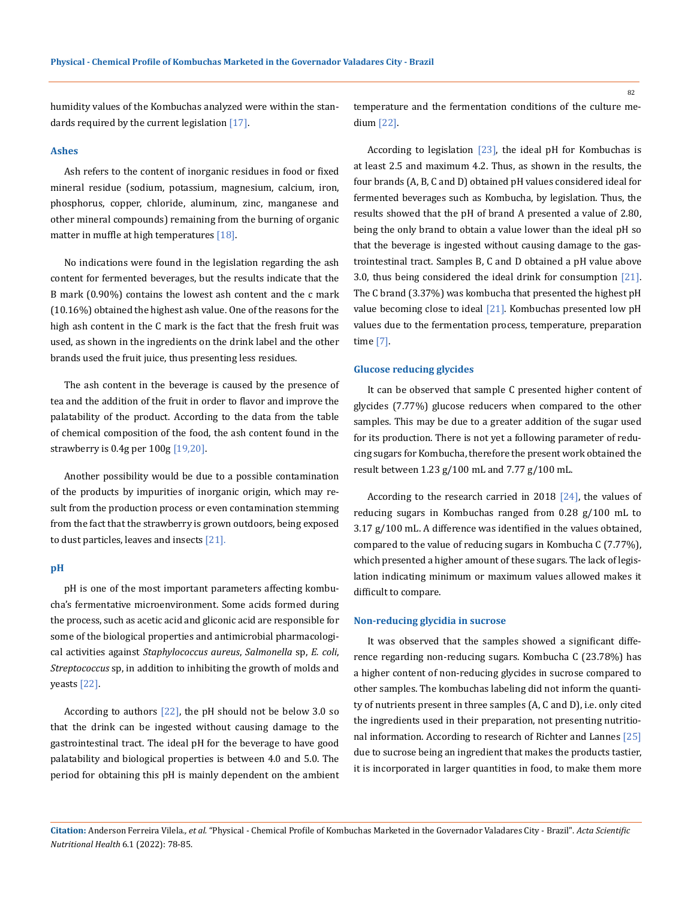humidity values of the Kombuchas analyzed were within the standards required by the current legislation [17].

### **Ashes**

Ash refers to the content of inorganic residues in food or fixed mineral residue (sodium, potassium, magnesium, calcium, iron, phosphorus, copper, chloride, aluminum, zinc, manganese and other mineral compounds) remaining from the burning of organic matter in muffle at high temperatures [18].

No indications were found in the legislation regarding the ash content for fermented beverages, but the results indicate that the B mark (0.90%) contains the lowest ash content and the c mark (10.16%) obtained the highest ash value. One of the reasons for the high ash content in the C mark is the fact that the fresh fruit was used, as shown in the ingredients on the drink label and the other brands used the fruit juice, thus presenting less residues.

The ash content in the beverage is caused by the presence of tea and the addition of the fruit in order to flavor and improve the palatability of the product. According to the data from the table of chemical composition of the food, the ash content found in the strawberry is 0.4g per 100g [19,20].

Another possibility would be due to a possible contamination of the products by impurities of inorganic origin, which may result from the production process or even contamination stemming from the fact that the strawberry is grown outdoors, being exposed to dust particles, leaves and insects [21].

#### **pH**

pH is one of the most important parameters affecting kombucha's fermentative microenvironment. Some acids formed during the process, such as acetic acid and gliconic acid are responsible for some of the biological properties and antimicrobial pharmacological activities against *Staphylococcus aureus*, *Salmonella* sp, *E. coli*, *Streptococcus* sp, in addition to inhibiting the growth of molds and yeasts [22].

According to authors  $[22]$ , the pH should not be below 3.0 so that the drink can be ingested without causing damage to the gastrointestinal tract. The ideal pH for the beverage to have good palatability and biological properties is between 4.0 and 5.0. The period for obtaining this pH is mainly dependent on the ambient temperature and the fermentation conditions of the culture medium [22].

According to legislation [23], the ideal pH for Kombuchas is at least 2.5 and maximum 4.2. Thus, as shown in the results, the four brands (A, B, C and D) obtained pH values considered ideal for fermented beverages such as Kombucha, by legislation. Thus, the results showed that the pH of brand A presented a value of 2.80, being the only brand to obtain a value lower than the ideal pH so that the beverage is ingested without causing damage to the gastrointestinal tract. Samples B, C and D obtained a pH value above 3.0, thus being considered the ideal drink for consumption [21]. The C brand (3.37%) was kombucha that presented the highest pH value becoming close to ideal [21]. Kombuchas presented low pH values due to the fermentation process, temperature, preparation time [7].

### **Glucose reducing glycides**

It can be observed that sample C presented higher content of glycides (7.77%) glucose reducers when compared to the other samples. This may be due to a greater addition of the sugar used for its production. There is not yet a following parameter of reducing sugars for Kombucha, therefore the present work obtained the result between 1.23 g/100 mL and 7.77 g/100 mL.

According to the research carried in 2018 [24], the values of reducing sugars in Kombuchas ranged from 0.28 g/100 mL to 3.17 g/100 mL. A difference was identified in the values obtained, compared to the value of reducing sugars in Kombucha C (7.77%), which presented a higher amount of these sugars. The lack of legislation indicating minimum or maximum values allowed makes it difficult to compare.

#### **Non-reducing glycidia in sucrose**

It was observed that the samples showed a significant difference regarding non-reducing sugars. Kombucha C (23.78%) has a higher content of non-reducing glycides in sucrose compared to other samples. The kombuchas labeling did not inform the quantity of nutrients present in three samples (A, C and D), i.e. only cited the ingredients used in their preparation, not presenting nutritional information. According to research of Richter and Lannes [25] due to sucrose being an ingredient that makes the products tastier, it is incorporated in larger quantities in food, to make them more

**Citation:** Anderson Ferreira Vilela*., et al.* "Physical - Chemical Profile of Kombuchas Marketed in the Governador Valadares City - Brazil". *Acta Scientific Nutritional Health* 6.1 (2022): 78-85.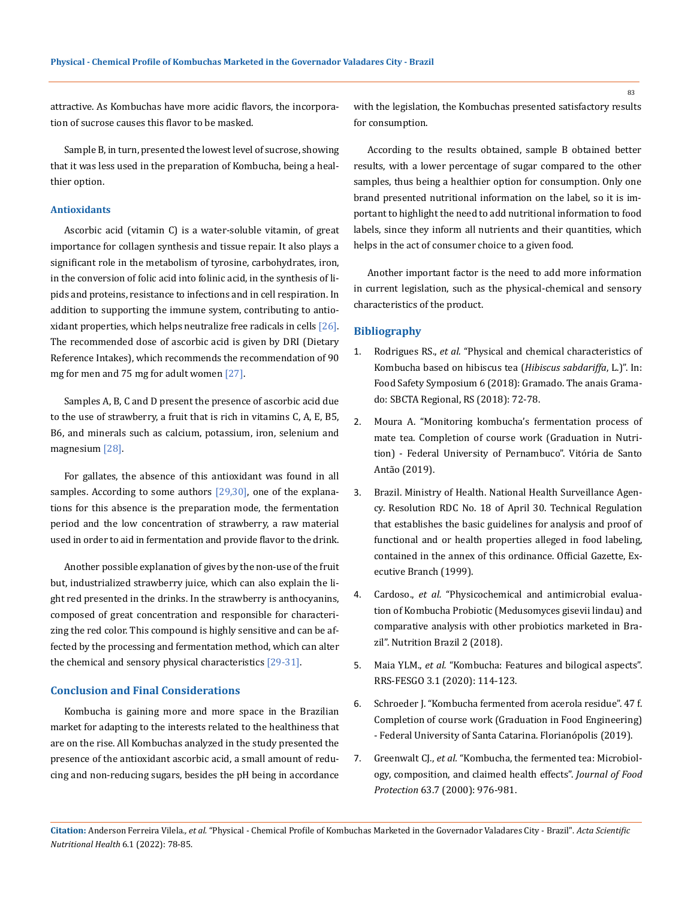attractive. As Kombuchas have more acidic flavors, the incorporation of sucrose causes this flavor to be masked.

Sample B, in turn, presented the lowest level of sucrose, showing that it was less used in the preparation of Kombucha, being a healthier option.

## **Antioxidants**

Ascorbic acid (vitamin C) is a water-soluble vitamin, of great importance for collagen synthesis and tissue repair. It also plays a significant role in the metabolism of tyrosine, carbohydrates, iron, in the conversion of folic acid into folinic acid, in the synthesis of lipids and proteins, resistance to infections and in cell respiration. In addition to supporting the immune system, contributing to antioxidant properties, which helps neutralize free radicals in cells [26]. The recommended dose of ascorbic acid is given by DRI (Dietary Reference Intakes), which recommends the recommendation of 90 mg for men and 75 mg for adult women [27].

Samples A, B, C and D present the presence of ascorbic acid due to the use of strawberry, a fruit that is rich in vitamins C, A, E, B5, B6, and minerals such as calcium, potassium, iron, selenium and magnesium [28].

For gallates, the absence of this antioxidant was found in all samples. According to some authors  $[29,30]$ , one of the explanations for this absence is the preparation mode, the fermentation period and the low concentration of strawberry, a raw material used in order to aid in fermentation and provide flavor to the drink.

Another possible explanation of gives by the non-use of the fruit but, industrialized strawberry juice, which can also explain the light red presented in the drinks. In the strawberry is anthocyanins, composed of great concentration and responsible for characterizing the red color. This compound is highly sensitive and can be affected by the processing and fermentation method, which can alter the chemical and sensory physical characteristics [29-31].

### **Conclusion and Final Considerations**

Kombucha is gaining more and more space in the Brazilian market for adapting to the interests related to the healthiness that are on the rise. All Kombuchas analyzed in the study presented the presence of the antioxidant ascorbic acid, a small amount of reducing and non-reducing sugars, besides the pH being in accordance with the legislation, the Kombuchas presented satisfactory results for consumption.

According to the results obtained, sample B obtained better results, with a lower percentage of sugar compared to the other samples, thus being a healthier option for consumption. Only one brand presented nutritional information on the label, so it is important to highlight the need to add nutritional information to food labels, since they inform all nutrients and their quantities, which helps in the act of consumer choice to a given food.

Another important factor is the need to add more information in current legislation, such as the physical-chemical and sensory characteristics of the product.

## **Bibliography**

- 1. Rodrigues RS., *et al.* "Physical and chemical characteristics of Kombucha based on hibiscus tea (*Hibiscus sabdariffa*, L.)". In: Food Safety Symposium 6 (2018): Gramado. The anais Gramado: SBCTA Regional, RS (2018): 72-78.
- 2. Moura A. "Monitoring kombucha's fermentation process of mate tea. Completion of course work (Graduation in Nutrition) - Federal University of Pernambuco". Vitória de Santo Antão (2019).
- 3. Brazil. Ministry of Health. National Health Surveillance Agency. Resolution RDC No. 18 of April 30. Technical Regulation that establishes the basic guidelines for analysis and proof of functional and or health properties alleged in food labeling, contained in the annex of this ordinance. Official Gazette, Executive Branch (1999).
- 4. Cardoso., *et al.* "Physicochemical and antimicrobial evaluation of Kombucha Probiotic (Medusomyces gisevii lindau) and comparative analysis with other probiotics marketed in Brazil". Nutrition Brazil 2 (2018).
- 5. Maia YLM., *et al.* "Kombucha: Features and bilogical aspects". RRS-FESGO 3.1 (2020): 114-123.
- 6. Schroeder J. "Kombucha fermented from acerola residue". 47 f. Completion of course work (Graduation in Food Engineering) - Federal University of Santa Catarina. Florianópolis (2019).
- 7. Greenwalt CJ., *et al.* ["Kombucha, the fermented tea: Microbiol](https://pubmed.ncbi.nlm.nih.gov/10914673/)[ogy, composition, and claimed health effects".](https://pubmed.ncbi.nlm.nih.gov/10914673/) *Journal of Food Protection* [63.7 \(2000\): 976-981.](https://pubmed.ncbi.nlm.nih.gov/10914673/)

**Citation:** Anderson Ferreira Vilela*., et al.* "Physical - Chemical Profile of Kombuchas Marketed in the Governador Valadares City - Brazil". *Acta Scientific Nutritional Health* 6.1 (2022): 78-85.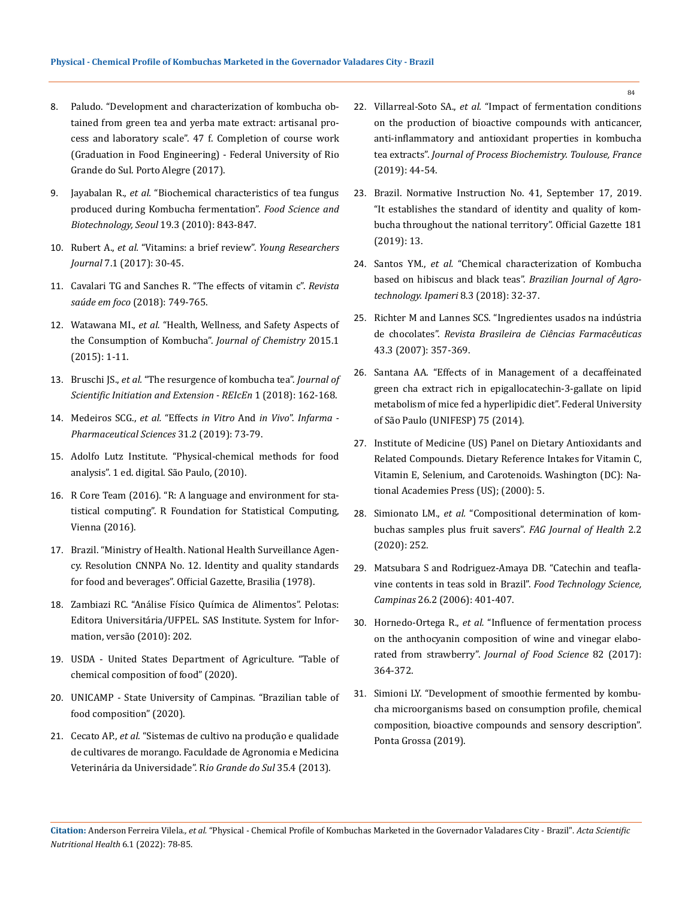- 8. Paludo. "Development and characterization of kombucha obtained from green tea and yerba mate extract: artisanal process and laboratory scale". 47 f. Completion of course work (Graduation in Food Engineering) - Federal University of Rio Grande do Sul. Porto Alegre (2017).
- 9. Jayabalan R., *et al.* ["Biochemical characteristics of tea fungus](https://link.springer.com/article/10.1007/s10068-010-0119-6)  [produced during Kombucha fermentation".](https://link.springer.com/article/10.1007/s10068-010-0119-6) *Food Science and [Biotechnology, Seoul](https://link.springer.com/article/10.1007/s10068-010-0119-6)* 19.3 (2010): 843-847.
- 10. Rubert A., *et al.* ["Vitamins: a brief review".](https://online.unisc.br/seer/index.php/jovenspesquisadores/article/view/9332) *Young Researchers Journal* [7.1 \(2017\): 30-45.](https://online.unisc.br/seer/index.php/jovenspesquisadores/article/view/9332)
- 11. Cavalari TG and Sanches R. "The effects of vitamin c". *Revista saúde em foco* (2018): 749-765.
- 12. Watawana MI., *et al.* ["Health, Wellness, and Safety Aspects of](https://www.hindawi.com/journals/jchem/2015/591869/)  [the Consumption of Kombucha".](https://www.hindawi.com/journals/jchem/2015/591869/) *Journal of Chemistry* 2015.1 [\(2015\): 1-11.](https://www.hindawi.com/journals/jchem/2015/591869/)
- 13. Bruschi JS., *et al.* "The resurgence of kombucha tea". *Journal of Scientific Initiation and Extension - REIcEn* 1 (2018): 162-168.
- 14. Medeiros SCG., *et al.* "Effects *in Vitro* And *in Vivo*". *Infarma Pharmaceutical Sciences* 31.2 (2019): 73-79.
- 15. Adolfo Lutz Institute. "Physical-chemical methods for food analysis". 1 ed. digital. São Paulo, (2010).
- 16. [R Core Team \(2016\). "R: A language and environment for sta](https://www.r-project.org/)[tistical computing". R Foundation for Statistical Computing,](https://www.r-project.org/)  [Vienna \(2016\).](https://www.r-project.org/)
- 17. Brazil. "Ministry of Health. National Health Surveillance Agency. Resolution CNNPA No. 12. Identity and quality standards for food and beverages". Official Gazette, Brasilia (1978).
- 18. [Zambiazi RC. "Análise Físico Química de Alimentos". Pelotas:](https://institucional.ufpel.edu.br/disciplinas/cod/12000148)  [Editora Universitária/UFPEL. SAS Institute. System for Infor](https://institucional.ufpel.edu.br/disciplinas/cod/12000148)[mation, versão \(2010\): 202.](https://institucional.ufpel.edu.br/disciplinas/cod/12000148)
- 19. USDA United States Department of Agriculture. "Table of chemical composition of food" (2020).
- 20. UNICAMP State University of Campinas. "Brazilian table of food composition" (2020).
- 21. Cecato AP., *et al.* ["Sistemas de cultivo na produção e qualidade](https://www.academia.edu/6144111/Disserta%C3%A7%C3%A3o_Mestrado_Sistemas_de_cultivo_do_morangueiro_figueira_e_alface_sob_cons%C3%B3rcio_e_monocultivo_em_ambiente_protegido)  [de cultivares de morango. Faculdade de Agronomia e Medicina](https://www.academia.edu/6144111/Disserta%C3%A7%C3%A3o_Mestrado_Sistemas_de_cultivo_do_morangueiro_figueira_e_alface_sob_cons%C3%B3rcio_e_monocultivo_em_ambiente_protegido)  [Veterinária da Universidade". R](https://www.academia.edu/6144111/Disserta%C3%A7%C3%A3o_Mestrado_Sistemas_de_cultivo_do_morangueiro_figueira_e_alface_sob_cons%C3%B3rcio_e_monocultivo_em_ambiente_protegido)*io Grande do Sul* 35.4 (2013).
- 22. Villarreal-Soto SA., *et al.* ["Impact of fermentation conditions](https://www.sciencedirect.com/science/article/abs/pii/S1359511318316416) [on the production of bioactive compounds with anticancer,](https://www.sciencedirect.com/science/article/abs/pii/S1359511318316416) [anti-inflammatory and antioxidant properties in kombucha](https://www.sciencedirect.com/science/article/abs/pii/S1359511318316416) tea extracts". *[Journal of Process Biochemistry. Toulouse, France](https://www.sciencedirect.com/science/article/abs/pii/S1359511318316416)* [\(2019\): 44-54.](https://www.sciencedirect.com/science/article/abs/pii/S1359511318316416)
- 23. Brazil. Normative Instruction No. 41, September 17, 2019. "It establishes the standard of identity and quality of kombucha throughout the national territory". Official Gazette 181 (2019): 13.
- 24. Santos YM., *et al.* "Chemical characterization of Kombucha based on hibiscus and black teas". *Brazilian Journal of Agrotechnology. Ipameri* 8.3 (2018): 32-37.
- 25. [Richter M and Lannes SCS. "Ingredientes usados na indústria](https://www.scielo.br/j/rbcf/a/LvmhpR6KztWsPHGq5XtMGGs/?lang=pt) de chocolates". *[Revista Brasileira de Ciências Farmacêuticas](https://www.scielo.br/j/rbcf/a/LvmhpR6KztWsPHGq5XtMGGs/?lang=pt)* [43.3 \(2007\): 357-369.](https://www.scielo.br/j/rbcf/a/LvmhpR6KztWsPHGq5XtMGGs/?lang=pt)
- 26. Santana AA. "Effects of in Management of a decaffeinated green cha extract rich in epigallocatechin-3-gallate on lipid metabolism of mice fed a hyperlipidic diet". Federal University of São Paulo (UNIFESP) 75 (2014).
- 27. [Institute of Medicine \(US\) Panel on Dietary Antioxidants and](https://www.ncbi.nlm.nih.gov/books/NBK225480/) [Related Compounds. Dietary Reference Intakes for Vitamin C,](https://www.ncbi.nlm.nih.gov/books/NBK225480/) [Vitamin E, Selenium, and Carotenoids. Washington \(DC\): Na](https://www.ncbi.nlm.nih.gov/books/NBK225480/)[tional Academies Press \(US\); \(2000\): 5.](https://www.ncbi.nlm.nih.gov/books/NBK225480/)
- 28. Simionato LM., *et al.* "Compositional determination of kombuchas samples plus fruit savers". *FAG Journal of Health* 2.2 (2020): 252.
- 29. [Matsubara S and Rodriguez-Amaya DB. "Catechin and teafla](https://www.scielo.br/j/cta/a/jL3vtqzbtswD7xkxdMKVMMQ/?format=pdf&lang=pt)[vine contents in teas sold in Brazil".](https://www.scielo.br/j/cta/a/jL3vtqzbtswD7xkxdMKVMMQ/?format=pdf&lang=pt) *Food Technology Science, Campinas* [26.2 \(2006\): 401-407.](https://www.scielo.br/j/cta/a/jL3vtqzbtswD7xkxdMKVMMQ/?format=pdf&lang=pt)
- 30. Hornedo-Ortega R., *et al.* ["Influence of fermentation process](https://pubmed.ncbi.nlm.nih.gov/28071800/) [on the anthocyanin composition of wine and vinegar elabo](https://pubmed.ncbi.nlm.nih.gov/28071800/)rated from strawberry". *[Journal of Food Science](https://pubmed.ncbi.nlm.nih.gov/28071800/)* 82 (2017): [364-372.](https://pubmed.ncbi.nlm.nih.gov/28071800/)
- 31. [Simioni LY. "Development of smoothie fermented by kombu](https://tede2.uepg.br/jspui/bitstream/prefix/2912/1/LORENE%20SIMIONI%20YASSIN.pdf)[cha microorganisms based on consumption profile, chemical](https://tede2.uepg.br/jspui/bitstream/prefix/2912/1/LORENE%20SIMIONI%20YASSIN.pdf) [composition, bioactive compounds and sensory description".](https://tede2.uepg.br/jspui/bitstream/prefix/2912/1/LORENE%20SIMIONI%20YASSIN.pdf) [Ponta Grossa \(2019\).](https://tede2.uepg.br/jspui/bitstream/prefix/2912/1/LORENE%20SIMIONI%20YASSIN.pdf)

**Citation:** Anderson Ferreira Vilela*., et al.* "Physical - Chemical Profile of Kombuchas Marketed in the Governador Valadares City - Brazil". *Acta Scientific Nutritional Health* 6.1 (2022): 78-85.